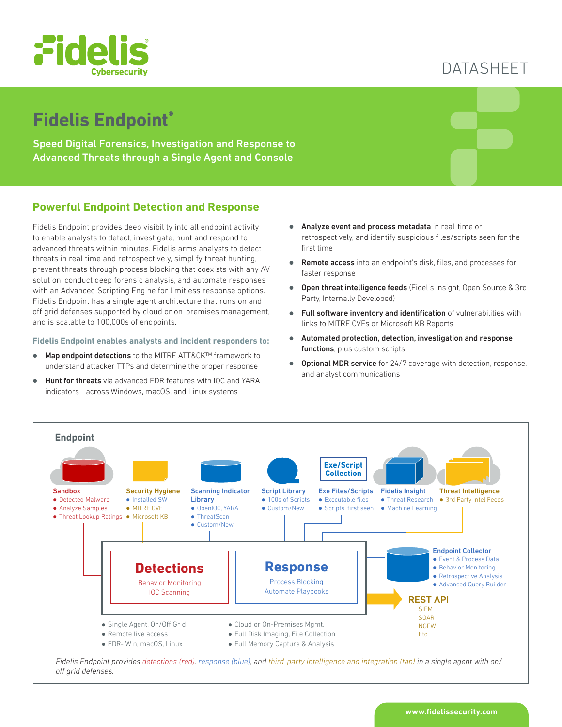

# DATASHEET

# **Fidelis Endpoint®**

Speed Digital Forensics, Investigation and Response to Advanced Threats through a Single Agent and Console

## **Powerful Endpoint Detection and Response**

Fidelis Endpoint provides deep visibility into all endpoint activity to enable analysts to detect, investigate, hunt and respond to advanced threats within minutes. Fidelis arms analysts to detect threats in real time and retrospectively, simplify threat hunting, prevent threats through process blocking that coexists with any AV solution, conduct deep forensic analysis, and automate responses with an Advanced Scripting Engine for limitless response options. Fidelis Endpoint has a single agent architecture that runs on and off grid defenses supported by cloud or on-premises management, and is scalable to 100,000s of endpoints.

#### **Fidelis Endpoint enables analysts and incident responders to:**

- Map endpoint detections to the MITRE ATT&CK™ framework to understand attacker TTPs and determine the proper response
- Hunt for threats via advanced EDR features with IOC and YARA indicators - across Windows, macOS, and Linux systems
- **Analyze event and process metadata** in real-time or retrospectively, and identify suspicious files/scripts seen for the first time
- Remote access into an endpoint's disk, files, and processes for faster response
- **Open threat intelligence feeds** (Fidelis Insight, Open Source & 3rd Party, Internally Developed)
- Full software inventory and identification of vulnerabilities with links to MITRE CVEs or Microsoft KB Reports
- $\bullet$  Automated protection, detection, investigation and response functions, plus custom scripts
- Optional MDR service for 24/7 coverage with detection, response, and analyst communications



*off grid defenses.*